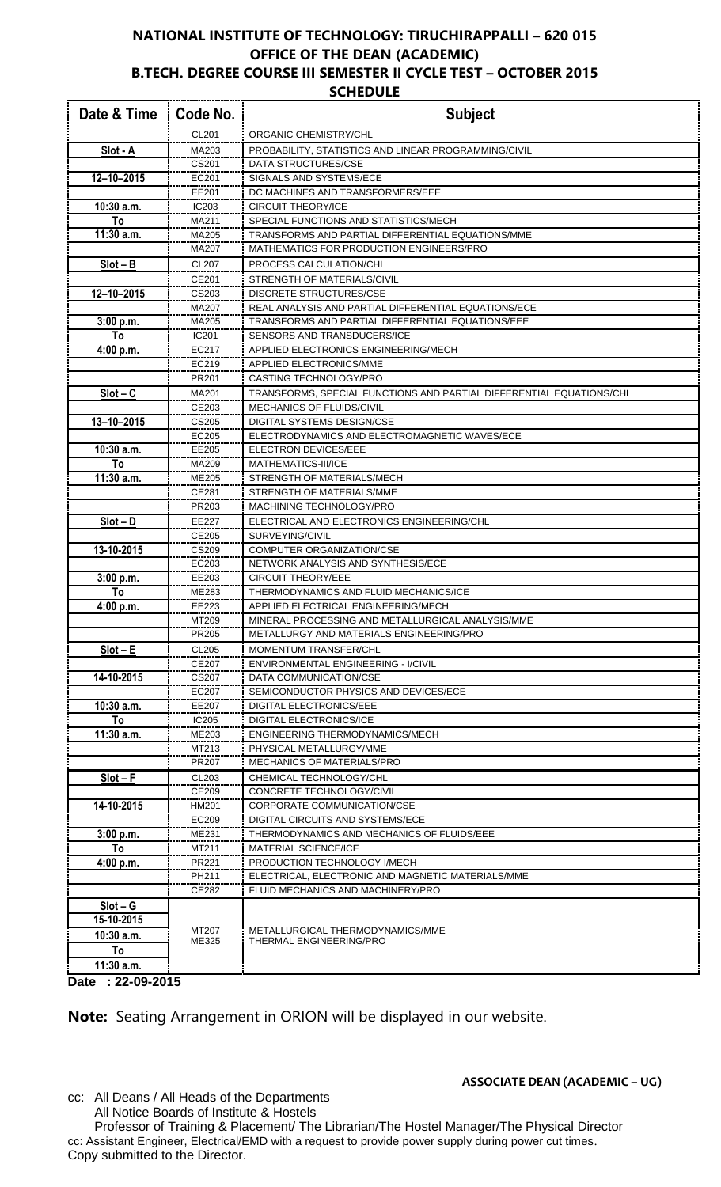## **NATIONAL INSTITUTE OF TECHNOLOGY: TIRUCHIRAPPALLI – 620 015 OFFICE OF THE DEAN (ACADEMIC) B.TECH. DEGREE COURSE III SEMESTER II CYCLE TEST – OCTOBER 2015**

## **SCHEDULE**

| Date & Time      | Code No.       | <b>Subject</b>                                                                           |
|------------------|----------------|------------------------------------------------------------------------------------------|
|                  | <b>CL201</b>   | ORGANIC CHEMISTRY/CHL                                                                    |
| Slot - A         | MA203          | PROBABILITY, STATISTICS AND LINEAR PROGRAMMING/CIVIL                                     |
|                  | CS201          | <b>DATA STRUCTURES/CSE</b>                                                               |
| 12-10-2015       | EC201          | SIGNALS AND SYSTEMS/ECE                                                                  |
|                  | EE201          | DC MACHINES AND TRANSFORMERS/EEE                                                         |
| 10:30 a.m.       | IC203          | <b>CIRCUIT THEORY/ICE</b>                                                                |
| To               | MA211          | SPECIAL FUNCTIONS AND STATISTICS/MECH                                                    |
| 11:30 a.m.       | MA205          | TRANSFORMS AND PARTIAL DIFFERENTIAL EQUATIONS/MME                                        |
|                  | MA207          | MATHEMATICS FOR PRODUCTION ENGINEERS/PRO                                                 |
| $Slot - B$       | CL207          | PROCESS CALCULATION/CHL                                                                  |
|                  | CE201          | STRENGTH OF MATERIALS/CIVIL                                                              |
| 12-10-2015       | CS203<br>MA207 | <b>DISCRETE STRUCTURES/CSE</b><br>REAL ANALYSIS AND PARTIAL DIFFERENTIAL EQUATIONS/ECE   |
| 3:00 p.m.        | MA205          | TRANSFORMS AND PARTIAL DIFFERENTIAL EQUATIONS/EEE                                        |
| To               | IC201          | SENSORS AND TRANSDUCERS/ICE                                                              |
| 4:00 p.m.        | EC217          | APPLIED ELECTRONICS ENGINEERING/MECH                                                     |
|                  | EC219          | APPLIED ELECTRONICS/MME                                                                  |
|                  | PR201          | CASTING TECHNOLOGY/PRO                                                                   |
| $Slot - C$       | MA201          | TRANSFORMS, SPECIAL FUNCTIONS AND PARTIAL DIFFERENTIAL EQUATIONS/CHL                     |
|                  | CE203          | MECHANICS OF FLUIDS/CIVIL                                                                |
| $13 - 10 - 2015$ | CS205          | DIGITAL SYSTEMS DESIGN/CSE                                                               |
|                  | EC205          | ELECTRODYNAMICS AND ELECTROMAGNETIC WAVES/ECE                                            |
| 10:30 a.m.       | EE205          | ELECTRON DEVICES/EEE                                                                     |
| To               | MA209          | MATHEMATICS-III/ICE                                                                      |
| 11:30 a.m.       | ME205          | STRENGTH OF MATERIALS/MECH                                                               |
|                  | CE281          | STRENGTH OF MATERIALS/MME                                                                |
|                  | PR203          | MACHINING TECHNOLOGY/PRO                                                                 |
| $Slot - D$       | EE227          | ELECTRICAL AND ELECTRONICS ENGINEERING/CHL                                               |
|                  | CE205          | SURVEYING/CIVIL                                                                          |
| 13-10-2015       | CS209          | COMPUTER ORGANIZATION/CSE                                                                |
|                  | EC203          | NETWORK ANALYSIS AND SYNTHESIS/ECE                                                       |
| 3:00 p.m.        | EE203          | <b>CIRCUIT THEORY/EEE</b>                                                                |
| To               | ME283          | THERMODYNAMICS AND FLUID MECHANICS/ICE                                                   |
| 4:00 p.m.        | EE223          | APPLIED ELECTRICAL ENGINEERING/MECH<br>MINERAL PROCESSING AND METALLURGICAL ANALYSIS/MME |
|                  | MT209<br>PR205 | METALLURGY AND MATERIALS ENGINEERING/PRO                                                 |
| $Slot - E$       | CL205          | <b>MOMENTUM TRANSFER/CHL</b>                                                             |
|                  | CE207          | <b>ENVIRONMENTAL ENGINEERING - I/CIVIL</b>                                               |
| 14-10-2015       | CS207          | DATA COMMUNICATION/CSE                                                                   |
|                  | EC207          | SEMICONDUCTOR PHYSICS AND DEVICES/ECE                                                    |
| 10:30 a.m.       | EE207          | DIGITAL ELECTRONICS/EEE                                                                  |
| To               | <b>IC205</b>   | <b>DIGITAL ELECTRONICS/ICE</b>                                                           |
| 11:30 a.m.       | ME203          | ENGINEERING THERMODYNAMICS/MECH                                                          |
|                  | MT213          | PHYSICAL METALLURGY/MME                                                                  |
|                  | PR207          | <b>MECHANICS OF MATERIALS/PRO</b>                                                        |
| $Slot - F$       | CL203          | CHEMICAL TECHNOLOGY/CHL                                                                  |
|                  | CE209          | CONCRETE TECHNOLOGY/CIVIL                                                                |
| 14-10-2015       | <b>HM201</b>   | CORPORATE COMMUNICATION/CSE                                                              |
|                  | EC209          | DIGITAL CIRCUITS AND SYSTEMS/ECE                                                         |
| 3:00 p.m.        | ME231          | THERMODYNAMICS AND MECHANICS OF FLUIDS/EEE                                               |
| To               | MT211          | <b>MATERIAL SCIENCE/ICE</b>                                                              |
| 4:00 p.m.        | PR221          | PRODUCTION TECHNOLOGY I/MECH                                                             |
|                  | PH211          | ELECTRICAL, ELECTRONIC AND MAGNETIC MATERIALS/MME                                        |
|                  | CE282          | FLUID MECHANICS AND MACHINERY/PRO                                                        |
| $Slot - G$       |                |                                                                                          |
| 15-10-2015       | MT207          | METALLURGICAL THERMODYNAMICS/MME                                                         |
| $10:30$ a.m.     | ME325          | THERMAL ENGINEERING/PRO                                                                  |
| To               |                |                                                                                          |
| 11:30 a.m.       |                |                                                                                          |
| Date: 22-09-2015 |                |                                                                                          |

**Note:** Seating Arrangement in ORION will be displayed in our website.

cc: All Deans / All Heads of the Departments All Notice Boards of Institute & Hostels

**ASSOCIATE DEAN (ACADEMIC – UG)**

Professor of Training & Placement/ The Librarian/The Hostel Manager/The Physical Director cc: Assistant Engineer, Electrical/EMD with a request to provide power supply during power cut times. Copy submitted to the Director.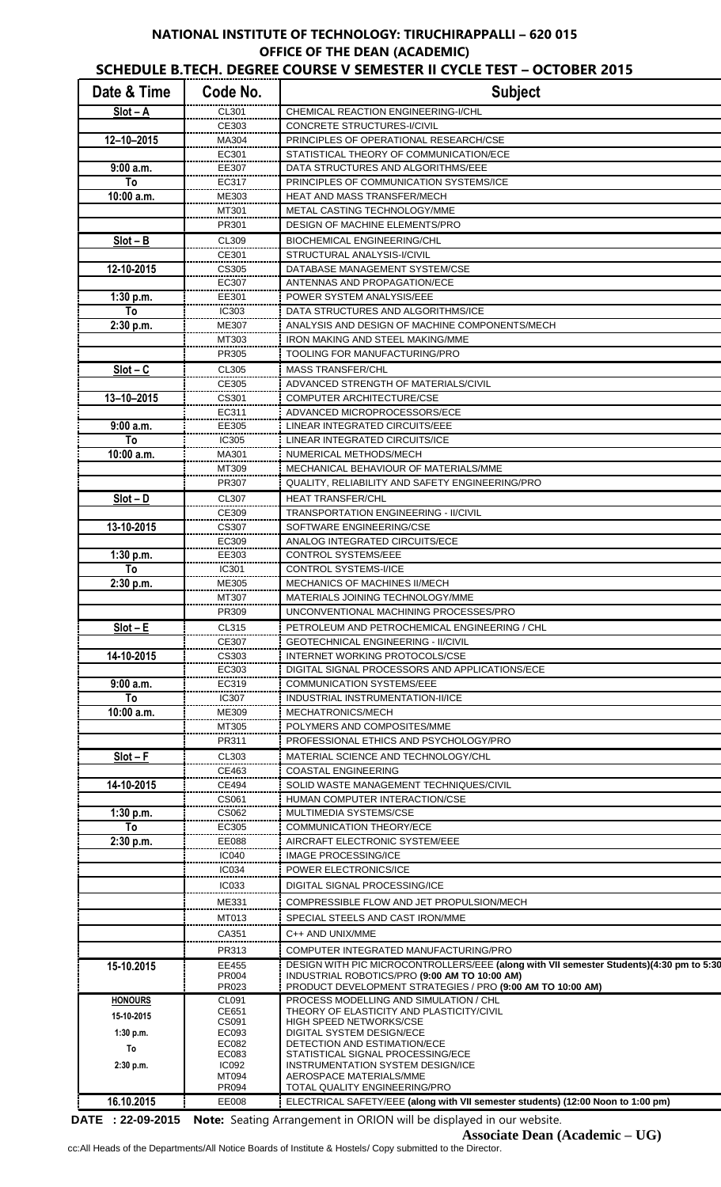## **NATIONAL INSTITUTE OF TECHNOLOGY: TIRUCHIRAPPALLI – 620 015 OFFICE OF THE DEAN (ACADEMIC)**

| Date & Time      | Code No.              | <b>Subject</b>                                                                                              |
|------------------|-----------------------|-------------------------------------------------------------------------------------------------------------|
| $Slot - A$       | CL301                 | CHEMICAL REACTION ENGINEERING-I/CHL                                                                         |
|                  | CE303                 | CONCRETE STRUCTURES-I/CIVIL                                                                                 |
| $12 - 10 - 2015$ | MA304                 | PRINCIPLES OF OPERATIONAL RESEARCH/CSE                                                                      |
|                  | EC301                 | STATISTICAL THEORY OF COMMUNICATION/ECE                                                                     |
| 9:00a.m.<br>To   | EE307                 | DATA STRUCTURES AND ALGORITHMS/EEE                                                                          |
| 10:00 a.m.       | EC317<br>ME303        | PRINCIPLES OF COMMUNICATION SYSTEMS/ICE<br>HEAT AND MASS TRANSFER/MECH                                      |
|                  | MT301                 | METAL CASTING TECHNOLOGY/MME                                                                                |
|                  | PR301                 | DESIGN OF MACHINE ELEMENTS/PRO                                                                              |
| $Slot - B$       | CL309                 | <b>BIOCHEMICAL ENGINEERING/CHL</b>                                                                          |
|                  | CE301                 | STRUCTURAL ANALYSIS-I/CIVIL                                                                                 |
| 12-10-2015       | CS305                 | DATABASE MANAGEMENT SYSTEM/CSE                                                                              |
|                  | EC307                 | ANTENNAS AND PROPAGATION/ECE                                                                                |
| 1:30 p.m.        | EE301                 | POWER SYSTEM ANALYSIS/EEE                                                                                   |
| To               | IC303                 | DATA STRUCTURES AND ALGORITHMS/ICE                                                                          |
| 2:30 p.m.        | ME307                 | ANALYSIS AND DESIGN OF MACHINE COMPONENTS/MECH<br><b>IRON MAKING AND STEEL MAKING/MME</b>                   |
|                  | MT303<br>PR305        | TOOLING FOR MANUFACTURING/PRO                                                                               |
| $Slot - C$       | CL305                 | <b>MASS TRANSFER/CHL</b>                                                                                    |
|                  | CE305                 | ADVANCED STRENGTH OF MATERIALS/CIVIL                                                                        |
| $13 - 10 - 2015$ | CS301                 | <b>COMPUTER ARCHITECTURE/CSE</b>                                                                            |
|                  | EC311                 | ADVANCED MICROPROCESSORS/ECE                                                                                |
| 9:00a.m.         | EE305                 | LINEAR INTEGRATED CIRCUITS/EEE                                                                              |
| To               | <b>IC305</b>          | LINEAR INTEGRATED CIRCUITS/ICE                                                                              |
| 10:00 a.m.       | MA301                 | NUMERICAL METHODS/MECH                                                                                      |
|                  | MT309                 | MECHANICAL BEHAVIOUR OF MATERIALS/MME                                                                       |
|                  | PR307                 | QUALITY, RELIABILITY AND SAFETY ENGINEERING/PRO                                                             |
| $Slot - D$       | CL307                 | <b>HEAT TRANSFER/CHL</b>                                                                                    |
|                  | CE309                 | <b>TRANSPORTATION ENGINEERING - II/CIVIL</b>                                                                |
| 13-10-2015       | CS307                 | SOFTWARE ENGINEERING/CSE                                                                                    |
|                  | EC309                 | ANALOG INTEGRATED CIRCUITS/ECE                                                                              |
| 1:30 p.m.<br>To  | EE303<br>IC301        | <b>CONTROL SYSTEMS/EEE</b><br><b>CONTROL SYSTEMS-I/ICE</b>                                                  |
| 2:30 p.m.        | ME305                 | <b>MECHANICS OF MACHINES II/MECH</b>                                                                        |
|                  | MT307                 | MATERIALS JOINING TECHNOLOGY/MME                                                                            |
|                  | PR309                 | UNCONVENTIONAL MACHINING PROCESSES/PRO                                                                      |
| $Slot - E$       | CL315                 | PETROLEUM AND PETROCHEMICAL ENGINEERING / CHL                                                               |
|                  | CE307                 | <b>GEOTECHNICAL ENGINEERING - II/CIVIL</b>                                                                  |
| 14-10-2015       | CS303                 | INTERNET WORKING PROTOCOLS/CSE                                                                              |
|                  | EC303                 | DIGITAL SIGNAL PROCESSORS AND APPLICATIONS/ECE                                                              |
| 9:00a.m.         | EC319                 | <b>COMMUNICATION SYSTEMS/EEE</b>                                                                            |
| To               | <b>IC307</b>          | INDUSTRIAL INSTRUMENTATION-II/ICE                                                                           |
| 10:00 a.m.       | ME309                 | MECHATRONICS/MECH                                                                                           |
|                  | MT305<br>PR311        | POLYMERS AND COMPOSITES/MME<br>PROFESSIONAL ETHICS AND PSYCHOLOGY/PRO                                       |
| $Slot - F$       | CL303                 | MATERIAL SCIENCE AND TECHNOLOGY/CHL                                                                         |
|                  | CE463                 | <b>COASTAL ENGINEERING</b>                                                                                  |
| 14-10-2015       | CE494                 | SOLID WASTE MANAGEMENT TECHNIQUES/CIVIL                                                                     |
|                  | CS061                 | HUMAN COMPUTER INTERACTION/CSE                                                                              |
| 1:30 p.m.        | CS062                 | MULTIMEDIA SYSTEMS/CSE                                                                                      |
| To               | EC305                 | COMMUNICATION THEORY/ECE                                                                                    |
| 2:30 p.m.        | <b>EE088</b>          | AIRCRAFT ELECTRONIC SYSTEM/EEE                                                                              |
|                  | <b>IC040</b>          | <b>IMAGE PROCESSING/ICE</b>                                                                                 |
|                  | <b>IC034</b>          | POWER ELECTRONICS/ICE                                                                                       |
|                  | <b>IC033</b>          | DIGITAL SIGNAL PROCESSING/ICE                                                                               |
|                  | ME331                 | COMPRESSIBLE FLOW AND JET PROPULSION/MECH                                                                   |
|                  | MT013                 | SPECIAL STEELS AND CAST IRON/MME                                                                            |
|                  | CA351                 | C++ AND UNIX/MME                                                                                            |
|                  | PR313                 | COMPUTER INTEGRATED MANUFACTURING/PRO                                                                       |
| 15-10.2015       | EE455                 | DESIGN WITH PIC MICROCONTROLLERS/EEE (along with VII semester Students)(4:30 pm to 5:30                     |
|                  | PR004<br>PR023        | INDUSTRIAL ROBOTICS/PRO (9:00 AM TO 10:00 AM)<br>PRODUCT DEVELOPMENT STRATEGIES / PRO (9:00 AM TO 10:00 AM) |
| <b>HONOURS</b>   | CL091                 | PROCESS MODELLING AND SIMULATION / CHL                                                                      |
| 15-10-2015       | CE651                 | THEORY OF ELASTICITY AND PLASTICITY/CIVIL                                                                   |
|                  | CS091<br>EC093        | <b>HIGH SPEED NETWORKS/CSE</b><br><b>DIGITAL SYSTEM DESIGN/ECE</b>                                          |
| 1:30 p.m.        | EC082                 | DETECTION AND ESTIMATION/ECE                                                                                |
| To<br>2:30 p.m.  | EC083                 | STATISTICAL SIGNAL PROCESSING/ECE                                                                           |
|                  | <b>IC092</b><br>MT094 | INSTRUMENTATION SYSTEM DESIGN/ICE<br><b>AEROSPACE MATERIALS/MME</b>                                         |
|                  | PR094                 | TOTAL QUALITY ENGINEERING/PRO                                                                               |
| 16.10.2015       | <b>EE008</b>          | ELECTRICAL SAFETY/EEE (along with VII semester students) (12:00 Noon to 1:00 pm)                            |

**DATE : 22-09-2015 Note:** Seating Arrangement in ORION will be displayed in our website.

cc:All Heads of the Departments/All Notice Boards of Institute & Hostels/ Copy submitted to the Director.

**Associate Dean (Academic – UG)**